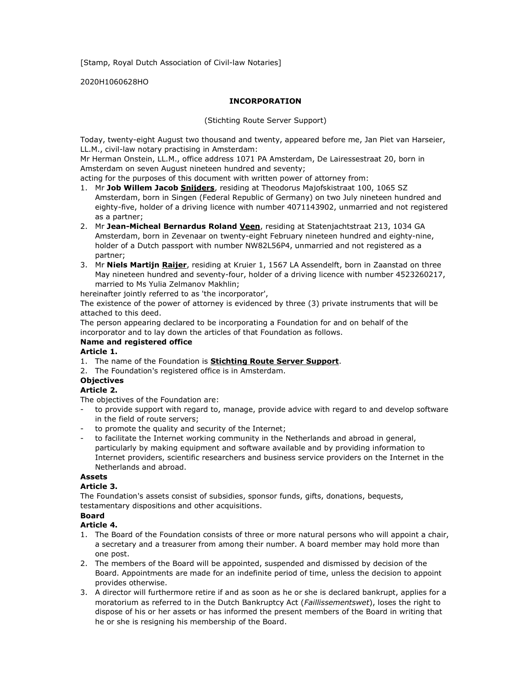[Stamp, Royal Dutch Association of Civil-law Notaries]

2020H1060628HO

#### INCORPORATION

(Stichting Route Server Support)

Today, twenty-eight August two thousand and twenty, appeared before me, Jan Piet van Harseier, LL.M., civil-law notary practising in Amsterdam:

Mr Herman Onstein, LL.M., office address 1071 PA Amsterdam, De Lairessestraat 20, born in Amsterdam on seven August nineteen hundred and seventy;

acting for the purposes of this document with written power of attorney from:

- 1. Mr Job Willem Jacob Snijders, residing at Theodorus Majofskistraat 100, 1065 SZ Amsterdam, born in Singen (Federal Republic of Germany) on two July nineteen hundred and eighty-five, holder of a driving licence with number 4071143902, unmarried and not registered as a partner;
- 2. Mr Jean-Micheal Bernardus Roland Veen, residing at Statenjachtstraat 213, 1034 GA Amsterdam, born in Zevenaar on twenty-eight February nineteen hundred and eighty-nine, holder of a Dutch passport with number NW82L56P4, unmarried and not registered as a partner;
- 3. Mr Niels Martijn Raijer, residing at Kruier 1, 1567 LA Assendelft, born in Zaanstad on three May nineteen hundred and seventy-four, holder of a driving licence with number 4523260217, married to Ms Yulia Zelmanov Makhlin;

hereinafter jointly referred to as 'the incorporator',

The existence of the power of attorney is evidenced by three (3) private instruments that will be attached to this deed.

The person appearing declared to be incorporating a Foundation for and on behalf of the incorporator and to lay down the articles of that Foundation as follows.

#### Name and registered office

#### Article 1.

- 1. The name of the Foundation is **Stichting Route Server Support**.
- 2. The Foundation's registered office is in Amsterdam.

#### **Objectives**

### Article 2.

The objectives of the Foundation are:

- to provide support with regard to, manage, provide advice with regard to and develop software in the field of route servers;
- to promote the quality and security of the Internet;
- to facilitate the Internet working community in the Netherlands and abroad in general, particularly by making equipment and software available and by providing information to Internet providers, scientific researchers and business service providers on the Internet in the Netherlands and abroad.

# Assets

# Article 3.

The Foundation's assets consist of subsidies, sponsor funds, gifts, donations, bequests, testamentary dispositions and other acquisitions.

# Board

- Article 4.
- 1. The Board of the Foundation consists of three or more natural persons who will appoint a chair, a secretary and a treasurer from among their number. A board member may hold more than one post.
- 2. The members of the Board will be appointed, suspended and dismissed by decision of the Board. Appointments are made for an indefinite period of time, unless the decision to appoint provides otherwise.
- 3. A director will furthermore retire if and as soon as he or she is declared bankrupt, applies for a moratorium as referred to in the Dutch Bankruptcy Act (Faillissementswet), loses the right to dispose of his or her assets or has informed the present members of the Board in writing that he or she is resigning his membership of the Board.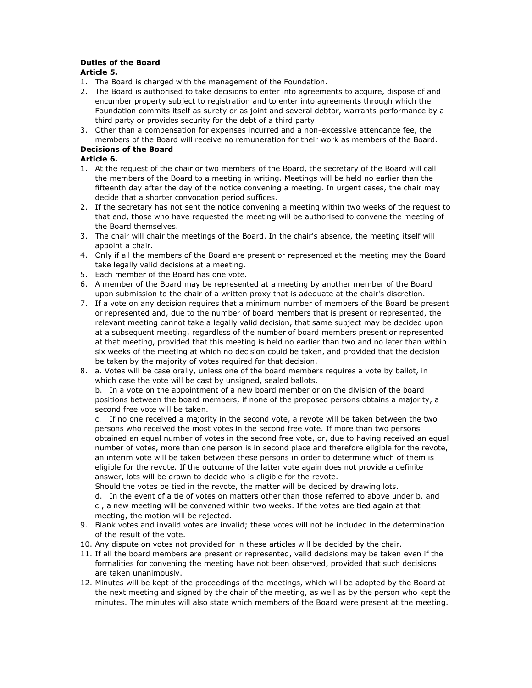#### Duties of the Board Article 5.

- 
- 1. The Board is charged with the management of the Foundation.
- 2. The Board is authorised to take decisions to enter into agreements to acquire, dispose of and encumber property subject to registration and to enter into agreements through which the Foundation commits itself as surety or as joint and several debtor, warrants performance by a third party or provides security for the debt of a third party.
- 3. Other than a compensation for expenses incurred and a non-excessive attendance fee, the members of the Board will receive no remuneration for their work as members of the Board.

## Decisions of the Board

#### Article 6.

- 1. At the request of the chair or two members of the Board, the secretary of the Board will call the members of the Board to a meeting in writing. Meetings will be held no earlier than the fifteenth day after the day of the notice convening a meeting. In urgent cases, the chair may decide that a shorter convocation period suffices.
- 2. If the secretary has not sent the notice convening a meeting within two weeks of the request to that end, those who have requested the meeting will be authorised to convene the meeting of the Board themselves.
- 3. The chair will chair the meetings of the Board. In the chair's absence, the meeting itself will appoint a chair.
- 4. Only if all the members of the Board are present or represented at the meeting may the Board take legally valid decisions at a meeting.
- 5. Each member of the Board has one vote.
- 6. A member of the Board may be represented at a meeting by another member of the Board upon submission to the chair of a written proxy that is adequate at the chair's discretion.
- 7. If a vote on any decision requires that a minimum number of members of the Board be present or represented and, due to the number of board members that is present or represented, the relevant meeting cannot take a legally valid decision, that same subject may be decided upon at a subsequent meeting, regardless of the number of board members present or represented at that meeting, provided that this meeting is held no earlier than two and no later than within six weeks of the meeting at which no decision could be taken, and provided that the decision be taken by the majority of votes required for that decision.
- 8. a. Votes will be case orally, unless one of the board members requires a vote by ballot, in which case the vote will be cast by unsigned, sealed ballots.

b. In a vote on the appointment of a new board member or on the division of the board positions between the board members, if none of the proposed persons obtains a majority, a second free vote will be taken.

c. If no one received a majority in the second vote, a revote will be taken between the two persons who received the most votes in the second free vote. If more than two persons obtained an equal number of votes in the second free vote, or, due to having received an equal number of votes, more than one person is in second place and therefore eligible for the revote, an interim vote will be taken between these persons in order to determine which of them is eligible for the revote. If the outcome of the latter vote again does not provide a definite answer, lots will be drawn to decide who is eligible for the revote.

Should the votes be tied in the revote, the matter will be decided by drawing lots. d. In the event of a tie of votes on matters other than those referred to above under b. and c., a new meeting will be convened within two weeks. If the votes are tied again at that meeting, the motion will be rejected.

- 9. Blank votes and invalid votes are invalid; these votes will not be included in the determination of the result of the vote.
- 10. Any dispute on votes not provided for in these articles will be decided by the chair.
- 11. If all the board members are present or represented, valid decisions may be taken even if the formalities for convening the meeting have not been observed, provided that such decisions are taken unanimously.
- 12. Minutes will be kept of the proceedings of the meetings, which will be adopted by the Board at the next meeting and signed by the chair of the meeting, as well as by the person who kept the minutes. The minutes will also state which members of the Board were present at the meeting.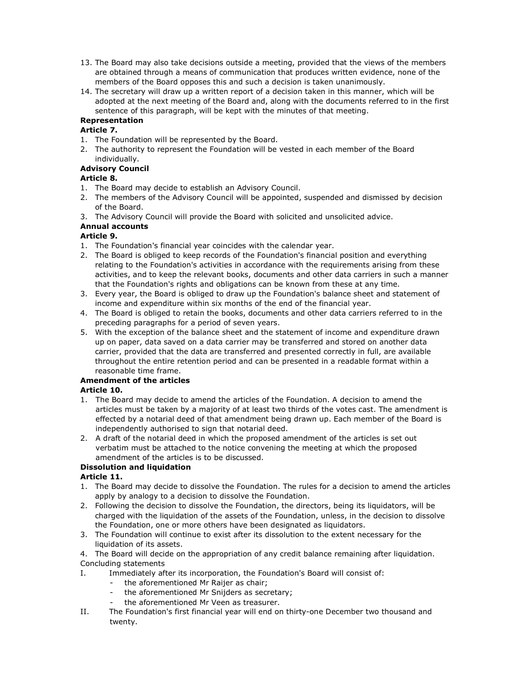- 13. The Board may also take decisions outside a meeting, provided that the views of the members are obtained through a means of communication that produces written evidence, none of the members of the Board opposes this and such a decision is taken unanimously.
- 14. The secretary will draw up a written report of a decision taken in this manner, which will be adopted at the next meeting of the Board and, along with the documents referred to in the first sentence of this paragraph, will be kept with the minutes of that meeting.

# Representation

## Article 7.

- 1. The Foundation will be represented by the Board.
- 2. The authority to represent the Foundation will be vested in each member of the Board individually.

### Advisory Council

### Article 8.

- 1. The Board may decide to establish an Advisory Council.
- 2. The members of the Advisory Council will be appointed, suspended and dismissed by decision of the Board.
- 3. The Advisory Council will provide the Board with solicited and unsolicited advice.

# Annual accounts

### Article 9.

- 1. The Foundation's financial year coincides with the calendar year.
- 2. The Board is obliged to keep records of the Foundation's financial position and everything relating to the Foundation's activities in accordance with the requirements arising from these activities, and to keep the relevant books, documents and other data carriers in such a manner that the Foundation's rights and obligations can be known from these at any time.
- 3. Every year, the Board is obliged to draw up the Foundation's balance sheet and statement of income and expenditure within six months of the end of the financial year.
- 4. The Board is obliged to retain the books, documents and other data carriers referred to in the preceding paragraphs for a period of seven years.
- 5. With the exception of the balance sheet and the statement of income and expenditure drawn up on paper, data saved on a data carrier may be transferred and stored on another data carrier, provided that the data are transferred and presented correctly in full, are available throughout the entire retention period and can be presented in a readable format within a reasonable time frame.

# Amendment of the articles

#### Article 10.

- 1. The Board may decide to amend the articles of the Foundation. A decision to amend the articles must be taken by a majority of at least two thirds of the votes cast. The amendment is effected by a notarial deed of that amendment being drawn up. Each member of the Board is independently authorised to sign that notarial deed.
- 2. A draft of the notarial deed in which the proposed amendment of the articles is set out verbatim must be attached to the notice convening the meeting at which the proposed amendment of the articles is to be discussed.

# Dissolution and liquidation

# Article 11.

- 1. The Board may decide to dissolve the Foundation. The rules for a decision to amend the articles apply by analogy to a decision to dissolve the Foundation.
- 2. Following the decision to dissolve the Foundation, the directors, being its liquidators, will be charged with the liquidation of the assets of the Foundation, unless, in the decision to dissolve the Foundation, one or more others have been designated as liquidators.
- 3. The Foundation will continue to exist after its dissolution to the extent necessary for the liquidation of its assets.

4. The Board will decide on the appropriation of any credit balance remaining after liquidation. Concluding statements

- I. Immediately after its incorporation, the Foundation's Board will consist of:
	- the aforementioned Mr Raijer as chair;
		- the aforementioned Mr Snijders as secretary;
		- the aforementioned Mr Veen as treasurer.
- II. The Foundation's first financial year will end on thirty-one December two thousand and twenty.